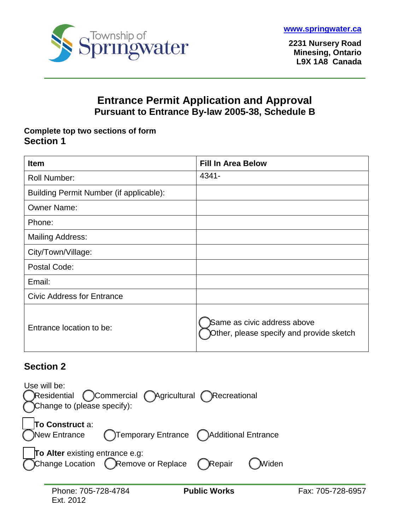



**2231 Nursery Road Minesing, Ontario L9X 1A8 Canada**

# **Entrance Permit Application and Approval Pursuant to Entrance By-law 2005-38, Schedule B**

### **Complete top two sections of form Section 1**

| <b>Item</b>                             | <b>Fill In Area Below</b>                                               |
|-----------------------------------------|-------------------------------------------------------------------------|
| <b>Roll Number:</b>                     | 4341-                                                                   |
| Building Permit Number (if applicable): |                                                                         |
| <b>Owner Name:</b>                      |                                                                         |
| Phone:                                  |                                                                         |
| <b>Mailing Address:</b>                 |                                                                         |
| City/Town/Village:                      |                                                                         |
| Postal Code:                            |                                                                         |
| Email:                                  |                                                                         |
| <b>Civic Address for Entrance</b>       |                                                                         |
| Entrance location to be:                | Same as civic address above<br>Other, please specify and provide sketch |

# **Section 2**

| Use will be:<br>Commercial Agricultural Recreational<br>Residential<br>Change to (please specify):                |                   |
|-------------------------------------------------------------------------------------------------------------------|-------------------|
| To Construct a:<br>Temporary Entrance (Calditional Entrance<br>New Entrance                                       |                   |
| To Alter existing entrance e.g:<br>$\delta$ Change Location $\bigcap$ Remove or Replace $\bigcap$ Repair<br>Widen |                   |
| Phone: 705-728-4784<br><b>Public Works</b>                                                                        | Fax: 705-728-6957 |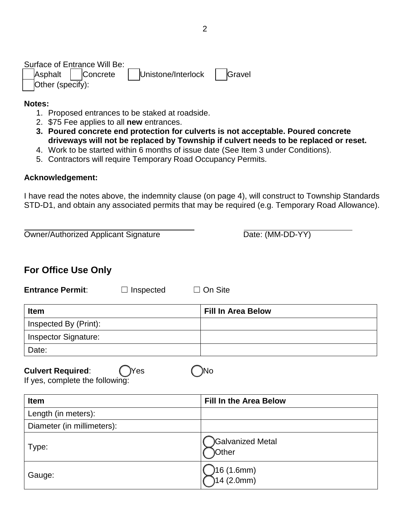Surface of Entrance Will Be: ☐ Asphalt ☐ Concrete ☐ Unistone/Interlock ☐ Gravel Other (specify):

#### **Notes:**

- 1. Proposed entrances to be staked at roadside.
- 2. \$75 Fee applies to all **new** entrances.
- **3. Poured concrete end protection for culverts is not acceptable. Poured concrete driveways will not be replaced by Township if culvert needs to be replaced or reset.**
- 4. Work to be started within 6 months of issue date (See Item 3 under Conditions).
- 5. Contractors will require Temporary Road Occupancy Permits.

#### **Acknowledgement:**

I have read the notes above, the indemnity clause (on page 4), will construct to Township Standards STD-D1, and obtain any associated permits that may be required (e.g. Temporary Road Allowance).

| <b>Owner/Authorized Applicant Signature</b>                        | Date: (MM-DD-YY)              |
|--------------------------------------------------------------------|-------------------------------|
| <b>For Office Use Only</b>                                         |                               |
| <b>Entrance Permit:</b><br>Inspected                               | On Site                       |
| <b>Item</b>                                                        | <b>Fill In Area Below</b>     |
| Inspected By (Print):                                              |                               |
| <b>Inspector Signature:</b>                                        |                               |
| Date:                                                              |                               |
| <b>Culvert Required:</b><br>Yes<br>If yes, complete the following: | No                            |
| Item                                                               | <b>Fill In the Area Below</b> |
| Length (in meters):                                                |                               |
| Diameter (in millimeters):                                         |                               |
| Type:                                                              | Galvanized Metal<br>Other     |
| Gauge:                                                             | 16 (1.6mm)<br>14 (2.0mm)      |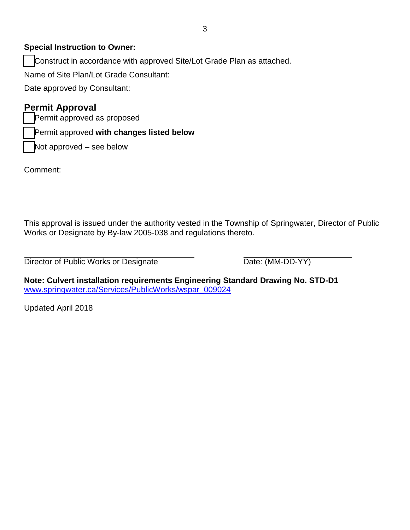### **Special Instruction to Owner:**

Construct in accordance with approved Site/Lot Grade Plan as attached.

Name of Site Plan/Lot Grade Consultant:

Date approved by Consultant:

### **Permit Approval**

Permit approved as proposed

☐ Permit approved **with changes listed below**

Not approved – see below

Comment:

This approval is issued under the authority vested in the Township of Springwater, Director of Public Works or Designate by By-law 2005-038 and regulations thereto.

Director of Public Works or Designate Director Oate: (MM-DD-YY)

**Note: Culvert installation requirements Engineering Standard Drawing No. STD-D1** www.springwater.ca/Services/PublicWorks/wspar\_009024

Updated April 2018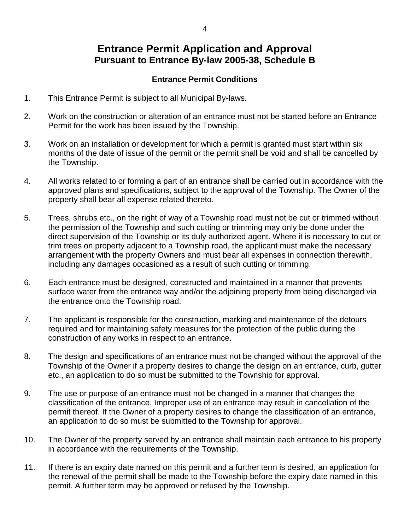## **Entrance Permit Application and Approval Pursuant to Entrance By-law 2005-38, Schedule B**

#### **Entrance Permit Conditions**

- 1. This Entrance Permit is subject to all Municipal By-laws.
- 2. Work on the construction or alteration of an entrance must not be started before an Entrance Permit for the work has been issued by the Township.
- 3. Work on an installation or development for which a permit is granted must start within six months of the date of issue of the permit or the permit shall be void and shall be cancelled by the Township.
- 4. All works related to or forming a part of an entrance shall be carried out in accordance with the approved plans and specifications, subject to the approval of the Township. The Owner of the property shall bear all expense related thereto.
- 5. Trees, shrubs etc., on the right of way of a Township road must not be cut or trimmed without the permission of the Township and such cutting or trimming may only be done under the direct supervision of the Township or its duly authorized agent. Where it is necessary to cut or trim trees on property adjacent to a Township road, the applicant must make the necessary arrangement with the property Owners and must bear all expenses in connection therewith, including any damages occasioned as a result of such cutting or trimming.
- 6. Each entrance must be designed, constructed and maintained in a manner that prevents surface water from the entrance way and/or the adjoining property from being discharged via the entrance onto the Township road.
- 7. The applicant is responsible for the construction, marking and maintenance of the detours required and for maintaining safety measures for the protection of the public during the construction of any works in respect to an entrance.
- 8. The design and specifications of an entrance must not be changed without the approval of the Township of the Owner if a property desires to change the design on an entrance, curb, gutter etc., an application to do so must be submitted to the Township for approval.
- 9. The use or purpose of an entrance must not be changed in a manner that changes the classification of the entrance. Improper use of an entrance may result in cancellation of the permit thereof. If the Owner of a property desires to change the classification of an entrance, an application to do so must be submitted to the Township for approval.
- 10. The Owner of the property served by an entrance shall maintain each entrance to his property in accordance with the requirements of the Township.
- 11. If there is an expiry date named on this permit and a further term is desired, an application for the renewal of the permit shall be made to the Township before the expiry date named in this permit. A further term may be approved or refused by the Township.